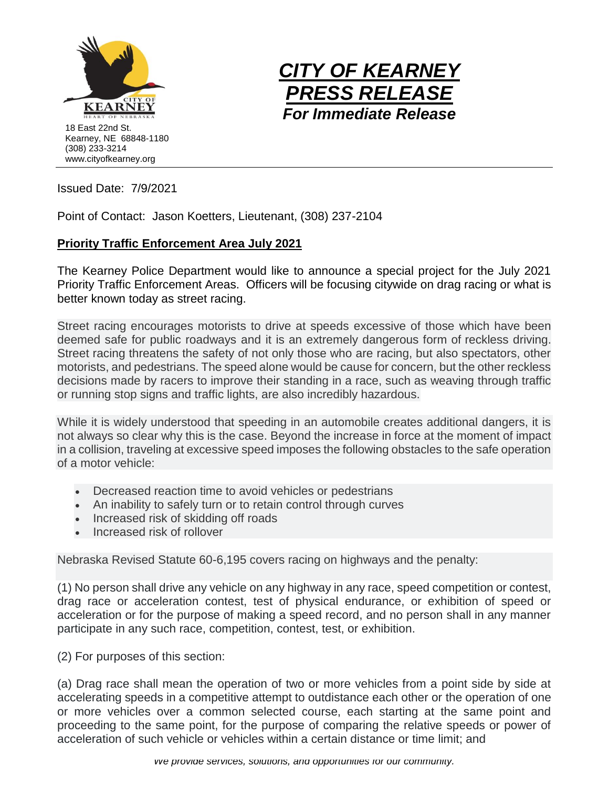



Issued Date: 7/9/2021

Point of Contact: Jason Koetters, Lieutenant, (308) 237-2104

## **Priority Traffic Enforcement Area July 2021**

The Kearney Police Department would like to announce a special project for the July 2021 Priority Traffic Enforcement Areas. Officers will be focusing citywide on drag racing or what is better known today as street racing.

Street racing encourages motorists to drive at speeds excessive of those which have been deemed safe for public roadways and it is an extremely dangerous form of reckless driving. Street racing threatens the safety of not only those who are racing, but also spectators, other motorists, and pedestrians. The speed alone would be cause for concern, but the other reckless decisions made by racers to improve their standing in a race, such as weaving through traffic or running stop signs and traffic lights, are also incredibly hazardous.

While it is widely understood that speeding in an automobile creates additional dangers, it is not always so clear why this is the case. Beyond the increase in force at the moment of impact in a collision, traveling at excessive speed imposes the following obstacles to the safe operation of a motor vehicle:

- Decreased reaction time to avoid vehicles or pedestrians
- An inability to safely turn or to retain control through curves
- Increased risk of skidding off roads
- Increased risk of rollover

Nebraska Revised Statute 60-6,195 covers racing on highways and the penalty:

(1) No person shall drive any vehicle on any highway in any race, speed competition or contest, drag race or acceleration contest, test of physical endurance, or exhibition of speed or acceleration or for the purpose of making a speed record, and no person shall in any manner participate in any such race, competition, contest, test, or exhibition.

(2) For purposes of this section:

(a) Drag race shall mean the operation of two or more vehicles from a point side by side at accelerating speeds in a competitive attempt to outdistance each other or the operation of one or more vehicles over a common selected course, each starting at the same point and proceeding to the same point, for the purpose of comparing the relative speeds or power of acceleration of such vehicle or vehicles within a certain distance or time limit; and